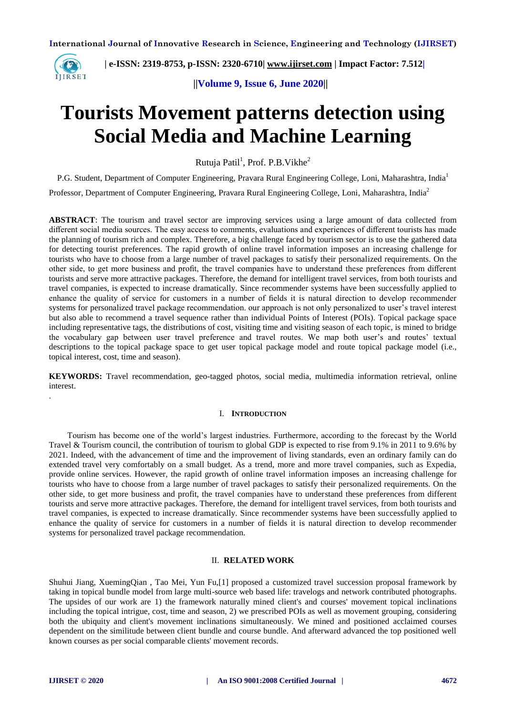

 **| e-ISSN: 2319-8753, p-ISSN: 2320-6710| [www.ijirset.com](http://www.ijirset.com/) | Impact Factor: 7.512|**

 **||Volume 9, Issue 6, June 2020||** 

# **Tourists Movement patterns detection using Social Media and Machine Learning**

Rutuja Patil<sup>1</sup>, Prof. P.B. Vikhe<sup>2</sup>

P.G. Student, Department of Computer Engineering, Pravara Rural Engineering College, Loni, Maharashtra, India<sup>1</sup>

Professor, Department of Computer Engineering, Pravara Rural Engineering College, Loni, Maharashtra, India<sup>2</sup>

**ABSTRACT**: The tourism and travel sector are improving services using a large amount of data collected from different social media sources. The easy access to comments, evaluations and experiences of different tourists has made the planning of tourism rich and complex. Therefore, a big challenge faced by tourism sector is to use the gathered data for detecting tourist preferences. The rapid growth of online travel information imposes an increasing challenge for tourists who have to choose from a large number of travel packages to satisfy their personalized requirements. On the other side, to get more business and profit, the travel companies have to understand these preferences from different tourists and serve more attractive packages. Therefore, the demand for intelligent travel services, from both tourists and travel companies, is expected to increase dramatically. Since recommender systems have been successfully applied to enhance the quality of service for customers in a number of fields it is natural direction to develop recommender systems for personalized travel package recommendation. our approach is not only personalized to user's travel interest but also able to recommend a travel sequence rather than individual Points of Interest (POIs). Topical package space including representative tags, the distributions of cost, visiting time and visiting season of each topic, is mined to bridge the vocabulary gap between user travel preference and travel routes. We map both user's and routes' textual descriptions to the topical package space to get user topical package model and route topical package model (i.e., topical interest, cost, time and season).

**KEYWORDS:** Travel recommendation, geo-tagged photos, social media, multimedia information retrieval, online interest.

#### I. **INTRODUCTION**

Tourism has become one of the world's largest industries. Furthermore, according to the forecast by the World Travel & Tourism council, the contribution of tourism to global GDP is expected to rise from 9.1% in 2011 to 9.6% by 2021. Indeed, with the advancement of time and the improvement of living standards, even an ordinary family can do extended travel very comfortably on a small budget. As a trend, more and more travel companies, such as Expedia, provide online services. However, the rapid growth of online travel information imposes an increasing challenge for tourists who have to choose from a large number of travel packages to satisfy their personalized requirements. On the other side, to get more business and profit, the travel companies have to understand these preferences from different tourists and serve more attractive packages. Therefore, the demand for intelligent travel services, from both tourists and travel companies, is expected to increase dramatically. Since recommender systems have been successfully applied to enhance the quality of service for customers in a number of fields it is natural direction to develop recommender systems for personalized travel package recommendation.

#### II. **RELATED WORK**

Shuhui Jiang, XuemingQian , Tao Mei, Yun Fu,[1] proposed a customized travel succession proposal framework by taking in topical bundle model from large multi-source web based life: travelogs and network contributed photographs. The upsides of our work are 1) the framework naturally mined client's and courses' movement topical inclinations including the topical intrigue, cost, time and season, 2) we prescribed POIs as well as movement grouping, considering both the ubiquity and client's movement inclinations simultaneously. We mined and positioned acclaimed courses dependent on the similitude between client bundle and course bundle. And afterward advanced the top positioned well known courses as per social comparable clients' movement records.

.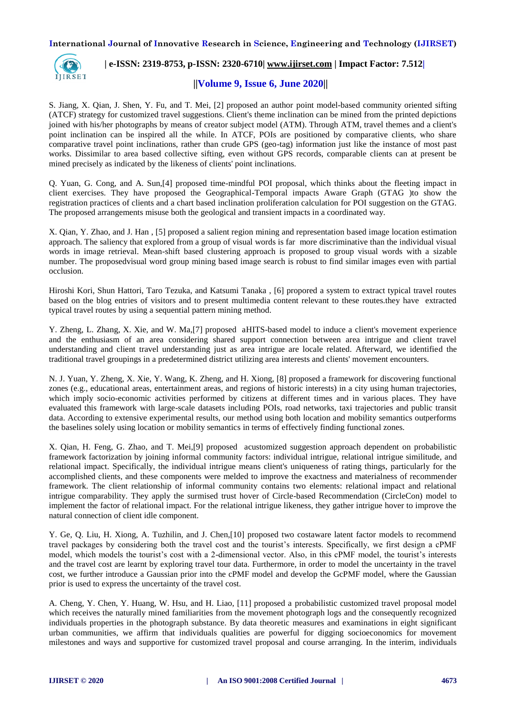

# **| e-ISSN: 2319-8753, p-ISSN: 2320-6710| [www.ijirset.com](http://www.ijirset.com/) | Impact Factor: 7.512|**

# **||Volume 9, Issue 6, June 2020||**

S. Jiang, X. Qian, J. Shen, Y. Fu, and T. Mei, [2] proposed an author point model-based community oriented sifting (ATCF) strategy for customized travel suggestions. Client's theme inclination can be mined from the printed depictions joined with his/her photographs by means of creator subject model (ATM). Through ATM, travel themes and a client's point inclination can be inspired all the while. In ATCF, POIs are positioned by comparative clients, who share comparative travel point inclinations, rather than crude GPS (geo-tag) information just like the instance of most past works. Dissimilar to area based collective sifting, even without GPS records, comparable clients can at present be mined precisely as indicated by the likeness of clients' point inclinations.

Q. Yuan, G. Cong, and A. Sun,[4] proposed time-mindful POI proposal, which thinks about the fleeting impact in client exercises. They have proposed the Geographical-Temporal impacts Aware Graph (GTAG )to show the registration practices of clients and a chart based inclination proliferation calculation for POI suggestion on the GTAG. The proposed arrangements misuse both the geological and transient impacts in a coordinated way.

X. Qian, Y. Zhao, and J. Han , [5] proposed a salient region mining and representation based image location estimation approach. The saliency that explored from a group of visual words is far more discriminative than the individual visual words in image retrieval. Mean-shift based clustering approach is proposed to group visual words with a sizable number. The proposedvisual word group mining based image search is robust to find similar images even with partial occlusion.

Hiroshi Kori, Shun Hattori, Taro Tezuka, and Katsumi Tanaka , [6] propored a system to extract typical travel routes based on the blog entries of visitors and to present multimedia content relevant to these routes.they have extracted typical travel routes by using a sequential pattern mining method.

Y. Zheng, L. Zhang, X. Xie, and W. Ma,[7] proposed aHITS-based model to induce a client's movement experience and the enthusiasm of an area considering shared support connection between area intrigue and client travel understanding and client travel understanding just as area intrigue are locale related. Afterward, we identified the traditional travel groupings in a predetermined district utilizing area interests and clients' movement encounters.

N. J. Yuan, Y. Zheng, X. Xie, Y. Wang, K. Zheng, and H. Xiong, [8] proposed a framework for discovering functional zones (e.g., educational areas, entertainment areas, and regions of historic interests) in a city using human trajectories, which imply socio-economic activities performed by citizens at different times and in various places. They have evaluated this framework with large-scale datasets including POIs, road networks, taxi trajectories and public transit data. According to extensive experimental results, our method using both location and mobility semantics outperforms the baselines solely using location or mobility semantics in terms of effectively finding functional zones.

X. Qian, H. Feng, G. Zhao, and T. Mei,[9] proposed acustomized suggestion approach dependent on probabilistic framework factorization by joining informal community factors: individual intrigue, relational intrigue similitude, and relational impact. Specifically, the individual intrigue means client's uniqueness of rating things, particularly for the accomplished clients, and these components were melded to improve the exactness and materialness of recommender framework. The client relationship of informal community contains two elements: relational impact and relational intrigue comparability. They apply the surmised trust hover of Circle-based Recommendation (CircleCon) model to implement the factor of relational impact. For the relational intrigue likeness, they gather intrigue hover to improve the natural connection of client idle component.

Y. Ge, Q. Liu, H. Xiong, A. Tuzhilin, and J. Chen,[10] proposed two costaware latent factor models to recommend travel packages by considering both the travel cost and the tourist's interests. Specifically, we first design a cPMF model, which models the tourist's cost with a 2-dimensional vector. Also, in this cPMF model, the tourist's interests and the travel cost are learnt by exploring travel tour data. Furthermore, in order to model the uncertainty in the travel cost, we further introduce a Gaussian prior into the cPMF model and develop the GcPMF model, where the Gaussian prior is used to express the uncertainty of the travel cost.

A. Cheng, Y. Chen, Y. Huang, W. Hsu, and H. Liao, [11] proposed a probabilistic customized travel proposal model which receives the naturally mined familiarities from the movement photograph logs and the consequently recognized individuals properties in the photograph substance. By data theoretic measures and examinations in eight significant urban communities, we affirm that individuals qualities are powerful for digging socioeconomics for movement milestones and ways and supportive for customized travel proposal and course arranging. In the interim, individuals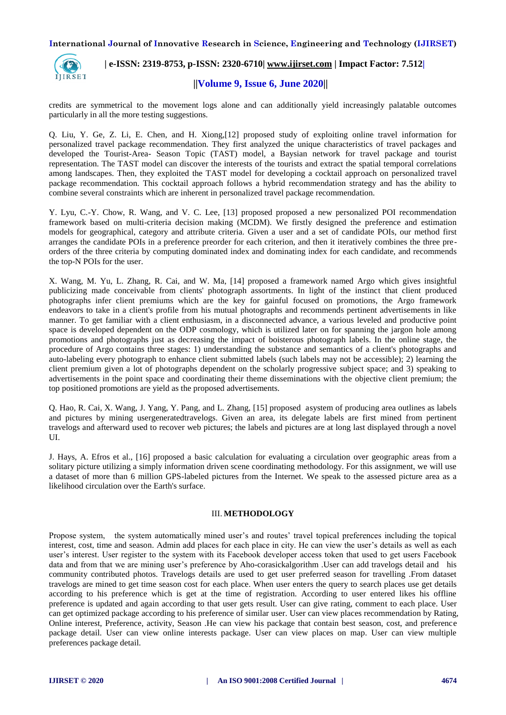

# **| e-ISSN: 2319-8753, p-ISSN: 2320-6710| [www.ijirset.com](http://www.ijirset.com/) | Impact Factor: 7.512|**

 **||Volume 9, Issue 6, June 2020||** 

credits are symmetrical to the movement logs alone and can additionally yield increasingly palatable outcomes particularly in all the more testing suggestions.

Q. Liu, Y. Ge, Z. Li, E. Chen, and H. Xiong,[12] proposed study of exploiting online travel information for personalized travel package recommendation. They first analyzed the unique characteristics of travel packages and developed the Tourist-Area- Season Topic (TAST) model, a Baysian network for travel package and tourist representation. The TAST model can discover the interests of the tourists and extract the spatial temporal correlations among landscapes. Then, they exploited the TAST model for developing a cocktail approach on personalized travel package recommendation. This cocktail approach follows a hybrid recommendation strategy and has the ability to combine several constraints which are inherent in personalized travel package recommendation.

Y. Lyu, C.-Y. Chow, R. Wang, and V. C. Lee, [13] proposed proposed a new personalized POI recommendation framework based on multi-criteria decision making (MCDM). We firstly designed the preference and estimation models for geographical, category and attribute criteria. Given a user and a set of candidate POIs, our method first arranges the candidate POIs in a preference preorder for each criterion, and then it iteratively combines the three preorders of the three criteria by computing dominated index and dominating index for each candidate, and recommends the top-N POIs for the user.

X. Wang, M. Yu, L. Zhang, R. Cai, and W. Ma, [14] proposed a framework named Argo which gives insightful publicizing made conceivable from clients' photograph assortments. In light of the instinct that client produced photographs infer client premiums which are the key for gainful focused on promotions, the Argo framework endeavors to take in a client's profile from his mutual photographs and recommends pertinent advertisements in like manner. To get familiar with a client enthusiasm, in a disconnected advance, a various leveled and productive point space is developed dependent on the ODP cosmology, which is utilized later on for spanning the jargon hole among promotions and photographs just as decreasing the impact of boisterous photograph labels. In the online stage, the procedure of Argo contains three stages: 1) understanding the substance and semantics of a client's photographs and auto-labeling every photograph to enhance client submitted labels (such labels may not be accessible); 2) learning the client premium given a lot of photographs dependent on the scholarly progressive subject space; and 3) speaking to advertisements in the point space and coordinating their theme disseminations with the objective client premium; the top positioned promotions are yield as the proposed advertisements.

Q. Hao, R. Cai, X. Wang, J. Yang, Y. Pang, and L. Zhang, [15] proposed asystem of producing area outlines as labels and pictures by mining usergeneratedtravelogs. Given an area, its delegate labels are first mined from pertinent travelogs and afterward used to recover web pictures; the labels and pictures are at long last displayed through a novel UI.

J. Hays, A. Efros et al., [16] proposed a basic calculation for evaluating a circulation over geographic areas from a solitary picture utilizing a simply information driven scene coordinating methodology. For this assignment, we will use a dataset of more than 6 million GPS-labeled pictures from the Internet. We speak to the assessed picture area as a likelihood circulation over the Earth's surface.

#### III. **METHODOLOGY**

Propose system, the system automatically mined user's and routes' travel topical preferences including the topical interest, cost, time and season. Admin add places for each place in city. He can view the user's details as well as each user's interest. User register to the system with its Facebook developer access token that used to get users Facebook data and from that we are mining user's preference by Aho-corasickalgorithm .User can add travelogs detail and his community contributed photos. Travelogs details are used to get user preferred season for travelling .From dataset travelogs are mined to get time season cost for each place. When user enters the query to search places use get details according to his preference which is get at the time of registration. According to user entered likes his offline preference is updated and again according to that user gets result. User can give rating, comment to each place. User can get optimized package according to his preference of similar user. User can view places recommendation by Rating, Online interest, Preference, activity, Season .He can view his package that contain best season, cost, and preference package detail. User can view online interests package. User can view places on map. User can view multiple preferences package detail.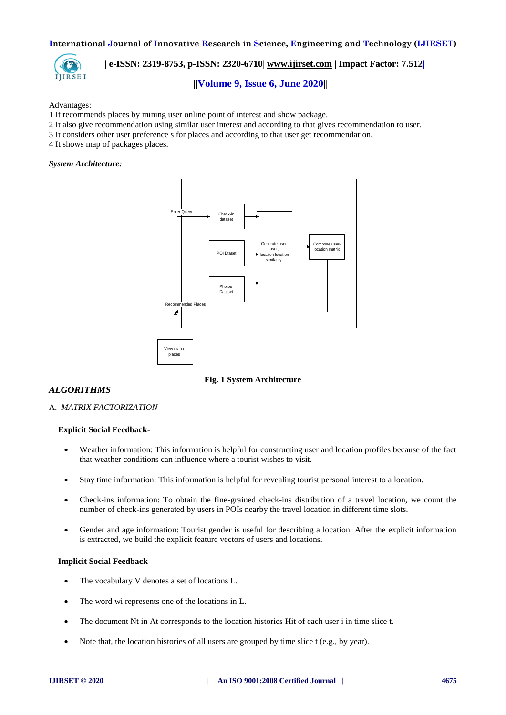

# **| e-ISSN: 2319-8753, p-ISSN: 2320-6710| [www.ijirset.com](http://www.ijirset.com/) | Impact Factor: 7.512|**

### **||Volume 9, Issue 6, June 2020||**

#### Advantages:

- 1 It recommends places by mining user online point of interest and show package.
- 2 It also give recommendation using similar user interest and according to that gives recommendation to user.
- 3 It considers other user preference s for places and according to that user get recommendation.
- 4 It shows map of packages places.

#### *System Architecture:*



**Fig. 1 System Architecture**

### *ALGORITHMS*

#### A. *MATRIX FACTORIZATION*

#### **Explicit Social Feedback-**

- Weather information: This information is helpful for constructing user and location profiles because of the fact that weather conditions can influence where a tourist wishes to visit.
- Stay time information: This information is helpful for revealing tourist personal interest to a location.
- Check-ins information: To obtain the fine-grained check-ins distribution of a travel location, we count the number of check-ins generated by users in POIs nearby the travel location in different time slots.
- Gender and age information: Tourist gender is useful for describing a location. After the explicit information is extracted, we build the explicit feature vectors of users and locations.

#### **Implicit Social Feedback**

- The vocabulary V denotes a set of locations L.
- The word wi represents one of the locations in L.
- The document Nt in At corresponds to the location histories Hit of each user i in time slice t.
- Note that, the location histories of all users are grouped by time slice t (e.g., by year).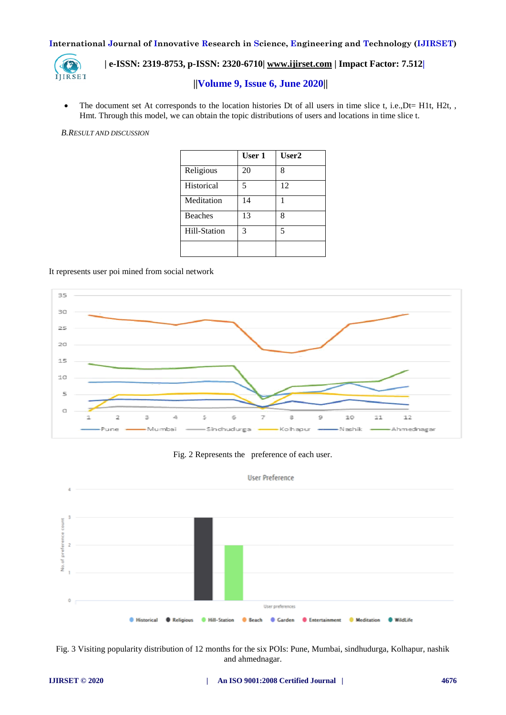

# **| e-ISSN: 2319-8753, p-ISSN: 2320-6710| [www.ijirset.com](http://www.ijirset.com/) | Impact Factor: 7.512|**

# **||Volume 9, Issue 6, June 2020||**

• The document set At corresponds to the location histories Dt of all users in time slice t, i.e., Dt= H1t, H2t, , Hmt. Through this model, we can obtain the topic distributions of users and locations in time slice t.

#### *B.RESULT AND DISCUSSION*

|                | User 1 | User2 |
|----------------|--------|-------|
| Religious      | 20     | 8     |
| Historical     | 5      | 12    |
| Meditation     | 14     | 1     |
| <b>Beaches</b> | 13     | 8     |
| Hill-Station   | 3      | 5     |
|                |        |       |

#### It represents user poi mined from social network







Fig. 3 Visiting popularity distribution of 12 months for the six POIs: Pune, Mumbai, sindhudurga, Kolhapur, nashik and ahmednagar.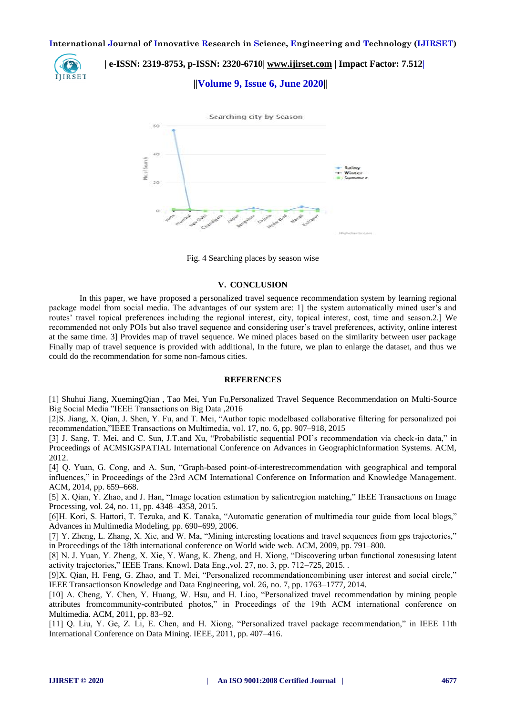

 **| e-ISSN: 2319-8753, p-ISSN: 2320-6710| [www.ijirset.com](http://www.ijirset.com/) | Impact Factor: 7.512|**

### **||Volume 9, Issue 6, June 2020||**



Fig. 4 Searching places by season wise

#### **V. CONCLUSION**

In this paper, we have proposed a personalized travel sequence recommendation system by learning regional package model from social media. The advantages of our system are: 1] the system automatically mined user's and routes' travel topical preferences including the regional interest, city, topical interest, cost, time and season.2.] We recommended not only POIs but also travel sequence and considering user's travel preferences, activity, online interest at the same time. 3] Provides map of travel sequence. We mined places based on the similarity between user package Finally map of travel sequence is provided with additional, In the future, we plan to enlarge the dataset, and thus we could do the recommendation for some non-famous cities.

#### **REFERENCES**

[1] Shuhui Jiang, XuemingQian , Tao Mei, Yun Fu,Personalized Travel Sequence Recommendation on Multi-Source Big Social Media "IEEE Transactions on Big Data ,2016

[2]S. Jiang, X. Qian, J. Shen, Y. Fu, and T. Mei, "Author topic modelbased collaborative filtering for personalized poi recommendation,"IEEE Transactions on Multimedia, vol. 17, no. 6, pp. 907–918, 2015

[3] J. Sang, T. Mei, and C. Sun, J.T.and Xu, "Probabilistic sequential POI's recommendation via check-in data," in Proceedings of ACMSIGSPATIAL International Conference on Advances in GeographicInformation Systems. ACM, 2012.

[4] Q. Yuan, G. Cong, and A. Sun, "Graph-based point-of-interestrecommendation with geographical and temporal influences," in Proceedings of the 23rd ACM International Conference on Information and Knowledge Management. ACM, 2014, pp. 659–668.

[5] X. Qian, Y. Zhao, and J. Han, "Image location estimation by salientregion matching," IEEE Transactions on Image Processing, vol. 24, no. 11, pp. 4348–4358, 2015.

[6]H. Kori, S. Hattori, T. Tezuka, and K. Tanaka, "Automatic generation of multimedia tour guide from local blogs," Advances in Multimedia Modeling, pp. 690–699, 2006.

[7] Y. Zheng, L. Zhang, X. Xie, and W. Ma, "Mining interesting locations and travel sequences from gps trajectories," in Proceedings of the 18th international conference on World wide web. ACM, 2009, pp. 791–800.

[8] N. J. Yuan, Y. Zheng, X. Xie, Y. Wang, K. Zheng, and H. Xiong, "Discovering urban functional zonesusing latent activity trajectories," IEEE Trans. Knowl. Data Eng.,vol. 27, no. 3, pp. 712–725, 2015. .

[9]X. Qian, H. Feng, G. Zhao, and T. Mei, "Personalized recommendationcombining user interest and social circle," IEEE Transactionson Knowledge and Data Engineering, vol. 26, no. 7, pp. 1763–1777, 2014.

[10] A. Cheng, Y. Chen, Y. Huang, W. Hsu, and H. Liao, "Personalized travel recommendation by mining people attributes fromcommunity-contributed photos," in Proceedings of the 19th ACM international conference on Multimedia. ACM, 2011, pp. 83–92.

[11] Q. Liu, Y. Ge, Z. Li, E. Chen, and H. Xiong, "Personalized travel package recommendation," in IEEE 11th International Conference on Data Mining. IEEE, 2011, pp. 407–416.